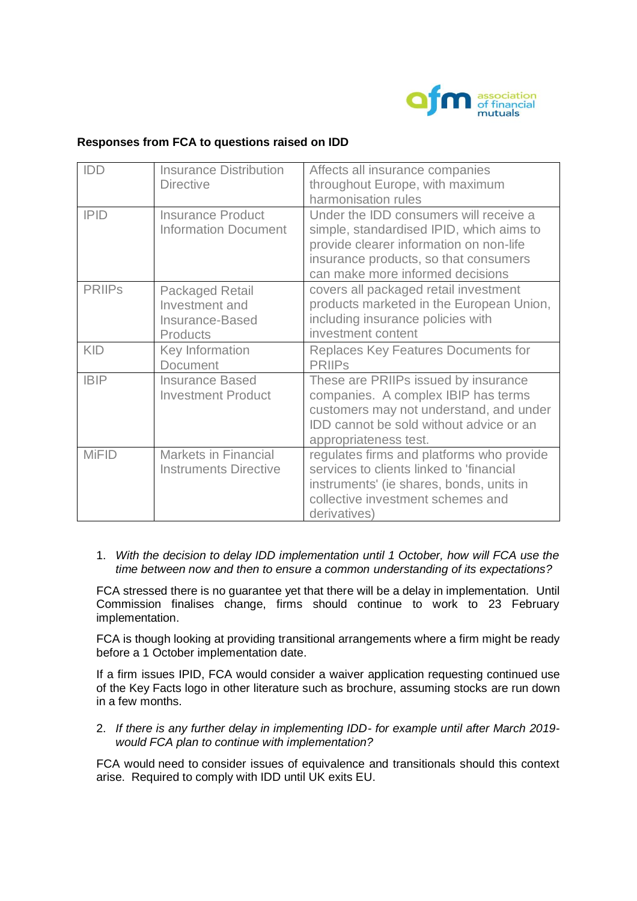

# **Responses from FCA to questions raised on IDD**

| IDD           | <b>Insurance Distribution</b> | Affects all insurance companies                |
|---------------|-------------------------------|------------------------------------------------|
|               | <b>Directive</b>              | throughout Europe, with maximum                |
|               |                               | harmonisation rules                            |
| <b>IPID</b>   | <b>Insurance Product</b>      | Under the IDD consumers will receive a         |
|               | <b>Information Document</b>   | simple, standardised IPID, which aims to       |
|               |                               | provide clearer information on non-life        |
|               |                               | insurance products, so that consumers          |
|               |                               | can make more informed decisions               |
| <b>PRIIPs</b> | <b>Packaged Retail</b>        | covers all packaged retail investment          |
|               | Investment and                | products marketed in the European Union,       |
|               | Insurance-Based               | including insurance policies with              |
|               | <b>Products</b>               | investment content                             |
| <b>KID</b>    | Key Information               | <b>Replaces Key Features Documents for</b>     |
|               | <b>Document</b>               | <b>PRIIPS</b>                                  |
| <b>IBIP</b>   | <b>Insurance Based</b>        | These are PRIIPs issued by insurance           |
|               | <b>Investment Product</b>     | companies. A complex IBIP has terms            |
|               |                               | customers may not understand, and under        |
|               |                               | <b>IDD</b> cannot be sold without advice or an |
|               |                               | appropriateness test.                          |
| <b>MiFID</b>  | <b>Markets in Financial</b>   | regulates firms and platforms who provide      |
|               | <b>Instruments Directive</b>  | services to clients linked to 'financial       |
|               |                               | instruments' (ie shares, bonds, units in       |
|               |                               | collective investment schemes and              |
|               |                               | derivatives)                                   |

#### 1. *With the decision to delay IDD implementation until 1 October, how will FCA use the time between now and then to ensure a common understanding of its expectations?*

FCA stressed there is no guarantee yet that there will be a delay in implementation. Until Commission finalises change, firms should continue to work to 23 February implementation.

FCA is though looking at providing transitional arrangements where a firm might be ready before a 1 October implementation date.

If a firm issues IPID, FCA would consider a waiver application requesting continued use of the Key Facts logo in other literature such as brochure, assuming stocks are run down in a few months.

2. *If there is any further delay in implementing IDD- for example until after March 2019 would FCA plan to continue with implementation?*

FCA would need to consider issues of equivalence and transitionals should this context arise. Required to comply with IDD until UK exits EU.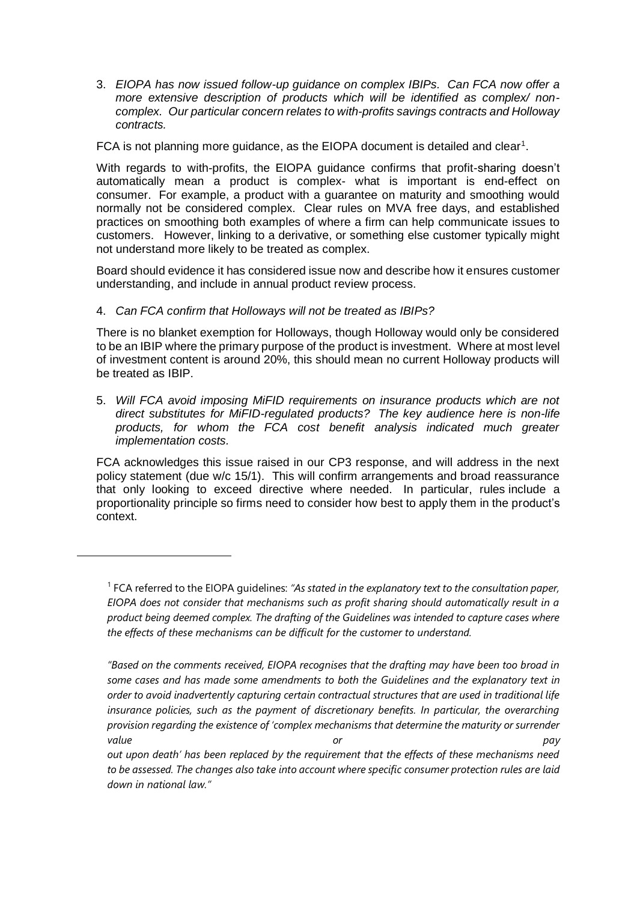3. *EIOPA has now issued follow-up guidance on complex IBIPs. Can FCA now offer a more extensive description of products which will be identified as complex/ noncomplex. Our particular concern relates to with-profits savings contracts and Holloway contracts.*

FCA is not planning more guidance, as the EIOPA document is detailed and clear<sup>1</sup>.

With regards to with-profits, the EIOPA guidance confirms that profit-sharing doesn't automatically mean a product is complex- what is important is end-effect on consumer. For example, a product with a guarantee on maturity and smoothing would normally not be considered complex. Clear rules on MVA free days, and established practices on smoothing both examples of where a firm can help communicate issues to customers. However, linking to a derivative, or something else customer typically might not understand more likely to be treated as complex.

Board should evidence it has considered issue now and describe how it ensures customer understanding, and include in annual product review process.

## 4. *Can FCA confirm that Holloways will not be treated as IBIPs?*

 $\overline{a}$ 

There is no blanket exemption for Holloways, though Holloway would only be considered to be an IBIP where the primary purpose of the product is investment. Where at most level of investment content is around 20%, this should mean no current Holloway products will be treated as IBIP.

5. *Will FCA avoid imposing MiFID requirements on insurance products which are not direct substitutes for MiFID-regulated products? The key audience here is non-life products, for whom the FCA cost benefit analysis indicated much greater implementation costs.*

FCA acknowledges this issue raised in our CP3 response, and will address in the next policy statement (due w/c 15/1). This will confirm arrangements and broad reassurance that only looking to exceed directive where needed. In particular, rules include a proportionality principle so firms need to consider how best to apply them in the product's context.

<sup>&</sup>lt;sup>1</sup> FCA referred to the EIOPA guidelines: "As stated in the explanatory text to the consultation paper, *EIOPA does not consider that mechanisms such as profit sharing should automatically result in a product being deemed complex. The drafting of the Guidelines was intended to capture cases where the effects of these mechanisms can be difficult for the customer to understand.*

*<sup>&</sup>quot;Based on the comments received, EIOPA recognises that the drafting may have been too broad in some cases and has made some amendments to both the Guidelines and the explanatory text in order to avoid inadvertently capturing certain contractual structures that are used in traditional life*  insurance policies, such as the payment of discretionary benefits. In particular, the overarching *provision regarding the existence of 'complex mechanisms that determine the maturity or surrender value or pay*

*out upon death' has been replaced by the requirement that the effects of these mechanisms need to be assessed. The changes also take into account where specific consumer protection rules are laid down in national law."*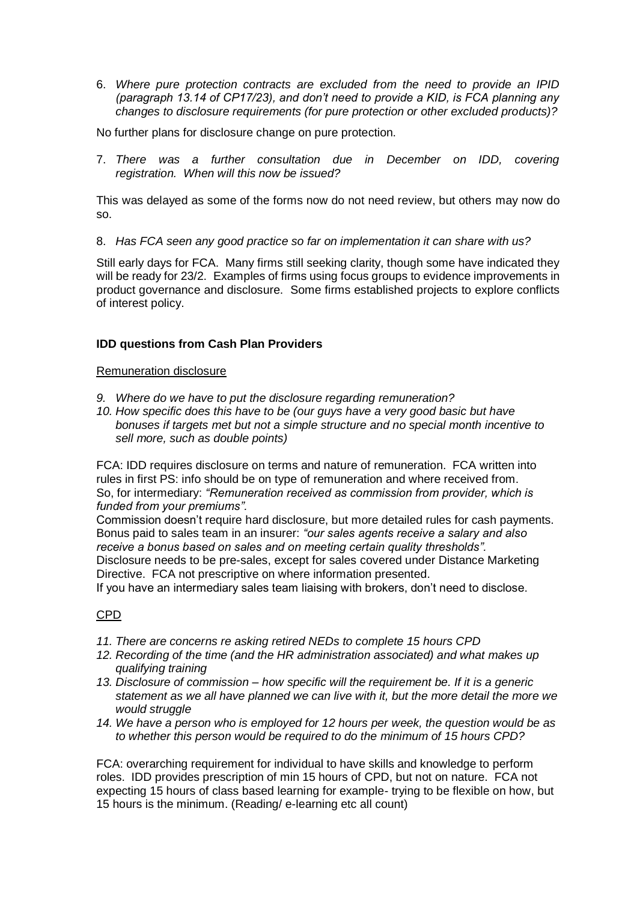6. *Where pure protection contracts are excluded from the need to provide an IPID (paragraph 13.14 of CP17/23), and don't need to provide a KID, is FCA planning any changes to disclosure requirements (for pure protection or other excluded products)?*

No further plans for disclosure change on pure protection.

7. *There was a further consultation due in December on IDD, covering registration. When will this now be issued?*

This was delayed as some of the forms now do not need review, but others may now do so.

8. *Has FCA seen any good practice so far on implementation it can share with us?*

Still early days for FCA. Many firms still seeking clarity, though some have indicated they will be ready for 23/2. Examples of firms using focus groups to evidence improvements in product governance and disclosure. Some firms established projects to explore conflicts of interest policy.

## **IDD questions from Cash Plan Providers**

#### Remuneration disclosure

- *9. Where do we have to put the disclosure regarding remuneration?*
- *10. How specific does this have to be (our guys have a very good basic but have bonuses if targets met but not a simple structure and no special month incentive to sell more, such as double points)*

FCA: IDD requires disclosure on terms and nature of remuneration. FCA written into rules in first PS: info should be on type of remuneration and where received from. So, for intermediary: *"Remuneration received as commission from provider, which is funded from your premiums".*

Commission doesn't require hard disclosure, but more detailed rules for cash payments. Bonus paid to sales team in an insurer: *"our sales agents receive a salary and also receive a bonus based on sales and on meeting certain quality thresholds".* Disclosure needs to be pre-sales, except for sales covered under Distance Marketing

Directive. FCA not prescriptive on where information presented.

If you have an intermediary sales team liaising with brokers, don't need to disclose.

## CPD

- *11. There are concerns re asking retired NEDs to complete 15 hours CPD*
- *12. Recording of the time (and the HR administration associated) and what makes up qualifying training*
- *13. Disclosure of commission – how specific will the requirement be. If it is a generic statement as we all have planned we can live with it, but the more detail the more we would struggle*
- *14. We have a person who is employed for 12 hours per week, the question would be as to whether this person would be required to do the minimum of 15 hours CPD?*

FCA: overarching requirement for individual to have skills and knowledge to perform roles. IDD provides prescription of min 15 hours of CPD, but not on nature. FCA not expecting 15 hours of class based learning for example- trying to be flexible on how, but 15 hours is the minimum. (Reading/ e-learning etc all count)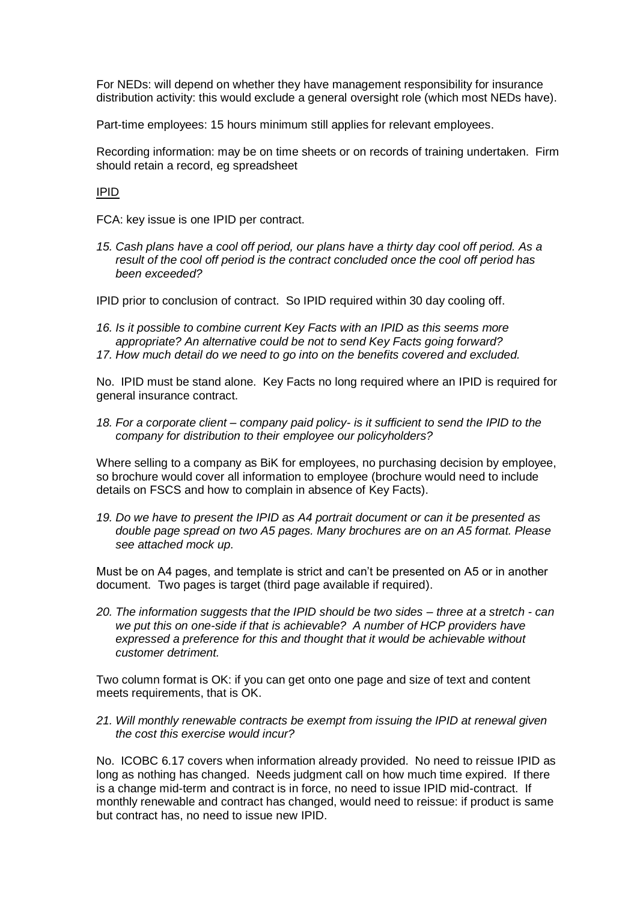For NEDs: will depend on whether they have management responsibility for insurance distribution activity: this would exclude a general oversight role (which most NEDs have).

Part-time employees: 15 hours minimum still applies for relevant employees.

Recording information: may be on time sheets or on records of training undertaken. Firm should retain a record, eg spreadsheet

IPID

FCA: key issue is one IPID per contract.

*15. Cash plans have a cool off period, our plans have a thirty day cool off period. As a result of the cool off period is the contract concluded once the cool off period has been exceeded?*

IPID prior to conclusion of contract. So IPID required within 30 day cooling off.

- *16. Is it possible to combine current Key Facts with an IPID as this seems more appropriate? An alternative could be not to send Key Facts going forward?*
- *17. How much detail do we need to go into on the benefits covered and excluded.*

No. IPID must be stand alone. Key Facts no long required where an IPID is required for general insurance contract.

*18. For a corporate client – company paid policy- is it sufficient to send the IPID to the company for distribution to their employee our policyholders?*

Where selling to a company as BiK for employees, no purchasing decision by employee, so brochure would cover all information to employee (brochure would need to include details on FSCS and how to complain in absence of Key Facts).

*19. Do we have to present the IPID as A4 portrait document or can it be presented as double page spread on two A5 pages. Many brochures are on an A5 format. Please see attached mock up.*

Must be on A4 pages, and template is strict and can't be presented on A5 or in another document. Two pages is target (third page available if required).

*20. The information suggests that the IPID should be two sides – three at a stretch - can we put this on one-side if that is achievable? A number of HCP providers have expressed a preference for this and thought that it would be achievable without customer detriment.* 

Two column format is OK: if you can get onto one page and size of text and content meets requirements, that is OK.

*21. Will monthly renewable contracts be exempt from issuing the IPID at renewal given the cost this exercise would incur?*

No. ICOBC 6.17 covers when information already provided. No need to reissue IPID as long as nothing has changed. Needs judgment call on how much time expired. If there is a change mid-term and contract is in force, no need to issue IPID mid-contract. If monthly renewable and contract has changed, would need to reissue: if product is same but contract has, no need to issue new IPID.